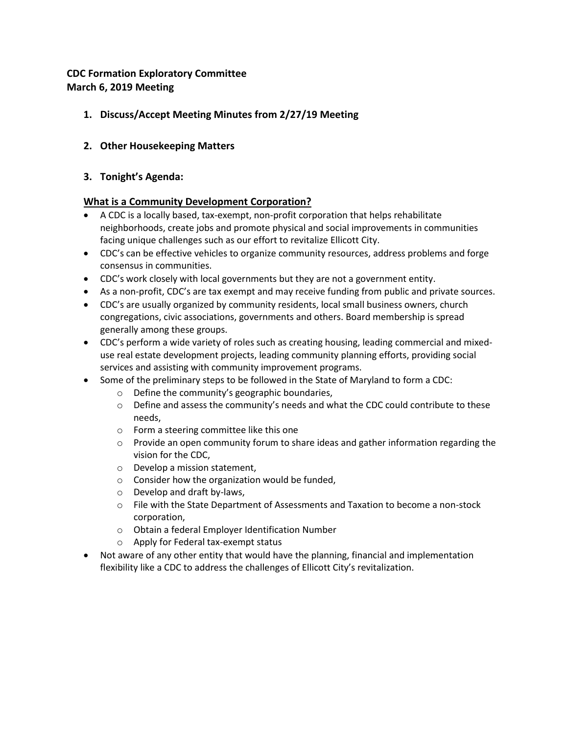# **CDC Formation Exploratory Committee March 6, 2019 Meeting**

# **1. Discuss/Accept Meeting Minutes from 2/27/19 Meeting**

## **2. Other Housekeeping Matters**

#### **3. Tonight's Agenda:**

#### **What is a Community Development Corporation?**

- A CDC is a locally based, tax-exempt, non-profit corporation that helps rehabilitate neighborhoods, create jobs and promote physical and social improvements in communities facing unique challenges such as our effort to revitalize Ellicott City.
- CDC's can be effective vehicles to organize community resources, address problems and forge consensus in communities.
- CDC's work closely with local governments but they are not a government entity.
- As a non-profit, CDC's are tax exempt and may receive funding from public and private sources.
- CDC's are usually organized by community residents, local small business owners, church congregations, civic associations, governments and others. Board membership is spread generally among these groups.
- CDC's perform a wide variety of roles such as creating housing, leading commercial and mixeduse real estate development projects, leading community planning efforts, providing social services and assisting with community improvement programs.
- Some of the preliminary steps to be followed in the State of Maryland to form a CDC:
	- o Define the community's geographic boundaries,
	- $\circ$  Define and assess the community's needs and what the CDC could contribute to these needs,
	- o Form a steering committee like this one
	- $\circ$  Provide an open community forum to share ideas and gather information regarding the vision for the CDC,
	- o Develop a mission statement,
	- o Consider how the organization would be funded,
	- o Develop and draft by-laws,
	- $\circ$  File with the State Department of Assessments and Taxation to become a non-stock corporation,
	- o Obtain a federal Employer Identification Number
	- o Apply for Federal tax-exempt status
- Not aware of any other entity that would have the planning, financial and implementation flexibility like a CDC to address the challenges of Ellicott City's revitalization.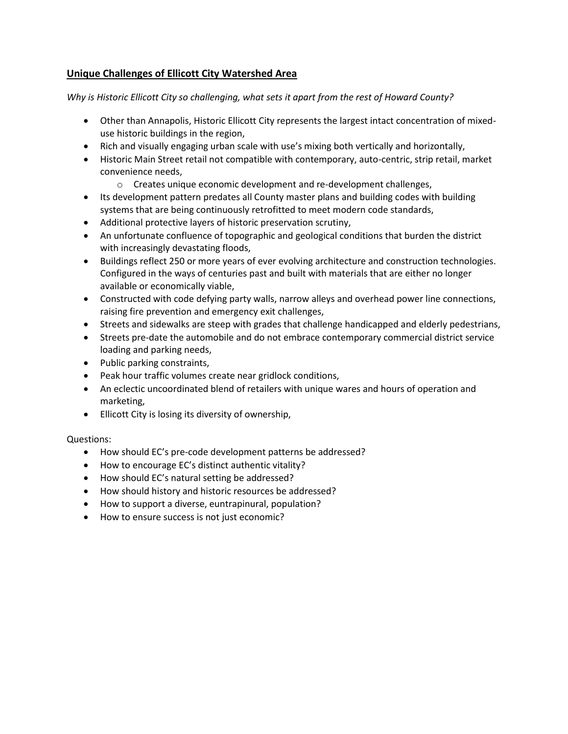## **Unique Challenges of Ellicott City Watershed Area**

*Why is Historic Ellicott City so challenging, what sets it apart from the rest of Howard County?*

- Other than Annapolis, Historic Ellicott City represents the largest intact concentration of mixeduse historic buildings in the region,
- Rich and visually engaging urban scale with use's mixing both vertically and horizontally,
- Historic Main Street retail not compatible with contemporary, auto-centric, strip retail, market convenience needs,
	- o Creates unique economic development and re-development challenges,
- Its development pattern predates all County master plans and building codes with building systems that are being continuously retrofitted to meet modern code standards,
- Additional protective layers of historic preservation scrutiny,
- An unfortunate confluence of topographic and geological conditions that burden the district with increasingly devastating floods,
- Buildings reflect 250 or more years of ever evolving architecture and construction technologies. Configured in the ways of centuries past and built with materials that are either no longer available or economically viable,
- Constructed with code defying party walls, narrow alleys and overhead power line connections, raising fire prevention and emergency exit challenges,
- Streets and sidewalks are steep with grades that challenge handicapped and elderly pedestrians,
- Streets pre-date the automobile and do not embrace contemporary commercial district service loading and parking needs,
- Public parking constraints,
- Peak hour traffic volumes create near gridlock conditions,
- An eclectic uncoordinated blend of retailers with unique wares and hours of operation and marketing,
- Ellicott City is losing its diversity of ownership,

Questions:

- How should EC's pre-code development patterns be addressed?
- How to encourage EC's distinct authentic vitality?
- How should EC's natural setting be addressed?
- How should history and historic resources be addressed?
- How to support a diverse, euntrapinural, population?
- How to ensure success is not just economic?